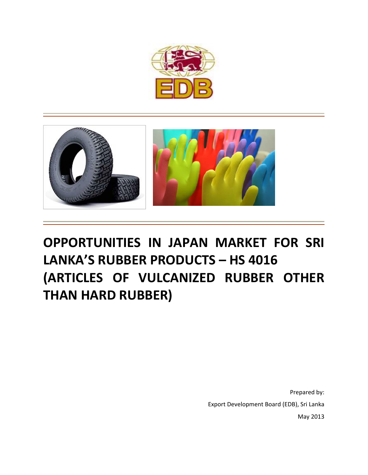



# **OPPORTUNITIES IN JAPAN MARKET FOR SRI LANKA'S RUBBER PRODUCTS – HS 4016 (ARTICLES OF VULCANIZED RUBBER OTHER THAN HARD RUBBER)**

Prepared by: Export Development Board (EDB), Sri Lanka May 2013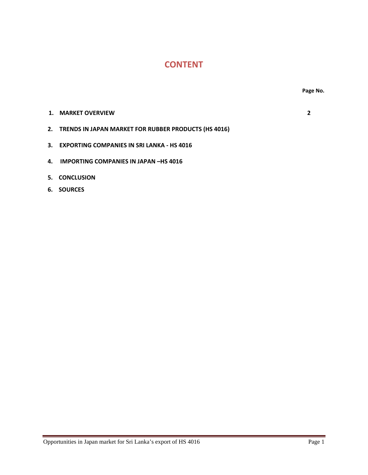## **CONTENT**

- **1. MARKET OVERVIEW 2**
- **2. TRENDS IN JAPAN MARKET FOR RUBBER PRODUCTS (HS 4016)**
- **3. EXPORTING COMPANIES IN SRI LANKA ‐ HS 4016**
- **4. IMPORTING COMPANIES IN JAPAN –HS 4016**
- **5. CONCLUSION**
- **6. SOURCES**

Opportunities in Japan market for Sri Lanka's export of HS 4016 Page 1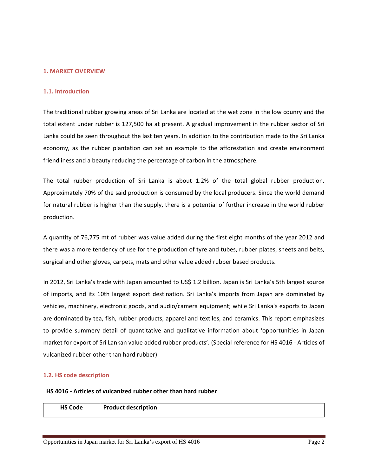#### **1. MARKET OVERVIEW**

#### **1.1. Introduction**

The traditional rubber growing areas of Sri Lanka are located at the wet zone in the low counry and the total extent under rubber is 127,500 ha at present. A gradual improvement in the rubber sector of Sri Lanka could be seen throughout the last ten years. In addition to the contribution made to the Sri Lanka economy, as the rubber plantation can set an example to the afforestation and create environment friendliness and a beauty reducing the percentage of carbon in the atmosphere.

The total rubber production of Sri Lanka is about 1.2% of the total global rubber production. Approximately 70% of the said production is consumed by the local producers. Since the world demand for natural rubber is higher than the supply, there is a potential of further increase in the world rubber production.

A quantity of 76,775 mt of rubber was value added during the first eight months of the year 2012 and there was a more tendency of use for the production of tyre and tubes, rubber plates, sheets and belts, surgical and other gloves, carpets, mats and other value added rubber based products.

In 2012, Sri Lanka's trade with Japan amounted to US\$ 1.2 billion. Japan is Sri Lanka's 5th largest source of imports, and its 10th largest export destination. Sri Lanka's imports from Japan are dominated by vehicles, machinery, electronic goods, and audio/camera equipment; while Sri Lanka's exports to Japan are dominated by tea, fish, rubber products, apparel and textiles, and ceramics. This report emphasizes to provide summery detail of quantitative and qualitative information about 'opportunities in Japan market for export of Sri Lankan value added rubber products'. (Special reference for HS 4016 ‐ Articles of vulcanized rubber other than hard rubber)

#### **1.2. HS code description**

#### **HS 4016 ‐ Articles of vulcanized rubber other than hard rubber**

**HS Code Product description**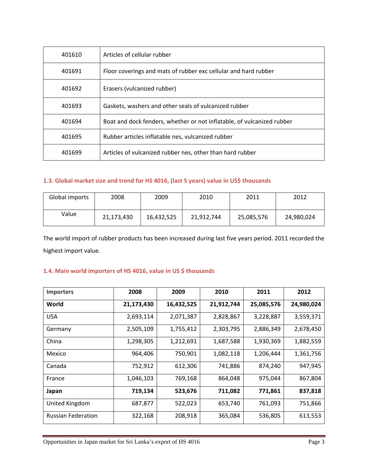| 401610 | Articles of cellular rubber                                            |
|--------|------------------------------------------------------------------------|
| 401691 | Floor coverings and mats of rubber exc cellular and hard rubber        |
| 401692 | Erasers (vulcanized rubber)                                            |
| 401693 | Gaskets, washers and other seals of vulcanized rubber                  |
| 401694 | Boat and dock fenders, whether or not inflatable, of vulcanized rubber |
| 401695 | Rubber articles inflatable nes, vulcanized rubber                      |
| 401699 | Articles of vulcanized rubber nes, other than hard rubber              |

#### **1.3. Global market size and trend for HS 4016, (last 5 years) value in US\$ thousands**

| Global imports | 2008       | 2009       | 2010       | 2011       | 2012       |
|----------------|------------|------------|------------|------------|------------|
| Value          | 21,173,430 | 16,432,525 | 21,912,744 | 25,085,576 | 24,980,024 |

The world import of rubber products has been increased during last five years period. 2011 recorded the highest import value.

#### **1.4. Main world importers of HS 4016, value in US \$ thousands**

| <b>Importers</b>          | 2008       | 2009       | 2010       | 2011       | 2012       |
|---------------------------|------------|------------|------------|------------|------------|
| World                     | 21,173,430 | 16,432,525 | 21,912,744 | 25,085,576 | 24,980,024 |
| <b>USA</b>                | 2,693,114  | 2,071,387  | 2,828,867  | 3,228,887  | 3,559,371  |
| Germany                   | 2,505,109  | 1,755,412  | 2,303,795  | 2,886,349  | 2,678,450  |
| China                     | 1,298,305  | 1,212,691  | 1,687,588  | 1,930,369  | 1,882,559  |
| Mexico                    | 964,406    | 750,901    | 1,082,118  | 1,206,444  | 1,361,756  |
| Canada                    | 752,912    | 612,306    | 741,886    | 874,240    | 947,945    |
| France                    | 1,046,103  | 769,168    | 864,048    | 975,044    | 867,804    |
| Japan                     | 719,134    | 523,676    | 711,082    | 771,861    | 837,818    |
| United Kingdom            | 687,877    | 522,023    | 653,740    | 761,093    | 751,866    |
| <b>Russian Federation</b> | 322,168    | 208,918    | 365,084    | 536,805    | 613,553    |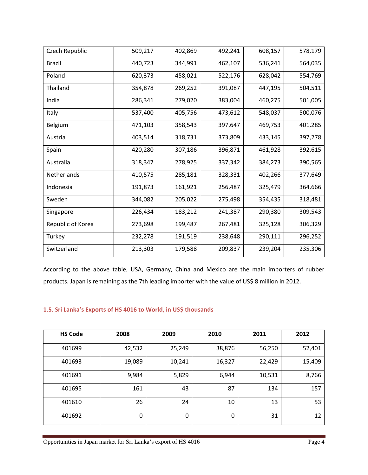| Czech Republic    | 509,217 | 402,869 | 492,241 | 608,157 | 578,179 |
|-------------------|---------|---------|---------|---------|---------|
| <b>Brazil</b>     | 440,723 | 344,991 | 462,107 | 536,241 | 564,035 |
| Poland            | 620,373 | 458,021 | 522,176 | 628,042 | 554,769 |
| Thailand          | 354,878 | 269,252 | 391,087 | 447,195 | 504,511 |
| India             | 286,341 | 279,020 | 383,004 | 460,275 | 501,005 |
| Italy             | 537,400 | 405,756 | 473,612 | 548,037 | 500,076 |
| Belgium           | 471,103 | 358,543 | 397,647 | 469,753 | 401,285 |
| Austria           | 403,514 | 318,731 | 373,809 | 433,145 | 397,278 |
| Spain             | 420,280 | 307,186 | 396,871 | 461,928 | 392,615 |
| Australia         | 318,347 | 278,925 | 337,342 | 384,273 | 390,565 |
| Netherlands       | 410,575 | 285,181 | 328,331 | 402,266 | 377,649 |
| Indonesia         | 191,873 | 161,921 | 256,487 | 325,479 | 364,666 |
| Sweden            | 344,082 | 205,022 | 275,498 | 354,435 | 318,481 |
| Singapore         | 226,434 | 183,212 | 241,387 | 290,380 | 309,543 |
| Republic of Korea | 273,698 | 199,487 | 267,481 | 325,128 | 306,329 |
| Turkey            | 232,278 | 191,519 | 238,648 | 290,111 | 296,252 |
| Switzerland       | 213,303 | 179,588 | 209,837 | 239,204 | 235,306 |

According to the above table, USA, Germany, China and Mexico are the main importers of rubber products. Japan is remaining as the 7th leading importer with the value of US\$ 8 million in 2012.

#### **1.5. Sri Lanka's Exports of HS 4016 to World, in US\$ thousands**

| <b>HS Code</b> | 2008   | 2009   | 2010   | 2011   | 2012   |
|----------------|--------|--------|--------|--------|--------|
| 401699         | 42,532 | 25,249 | 38,876 | 56,250 | 52,401 |
| 401693         | 19,089 | 10,241 | 16,327 | 22,429 | 15,409 |
| 401691         | 9,984  | 5,829  | 6,944  | 10,531 | 8,766  |
| 401695         | 161    | 43     | 87     | 134    | 157    |
| 401610         | 26     | 24     | 10     | 13     | 53     |
| 401692         | 0      | 0      | 0      | 31     | 12     |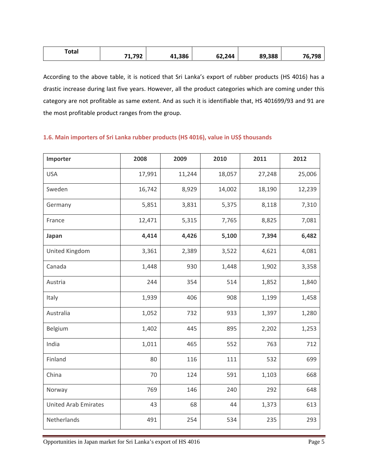| Total | .1,792 | 41,386 | 62,244 | 89,388 | 76,798 |
|-------|--------|--------|--------|--------|--------|
|       |        |        |        |        |        |

According to the above table, it is noticed that Sri Lanka's export of rubber products (HS 4016) has a drastic increase during last five years. However, all the product categories which are coming under this category are not profitable as same extent. And as such it is identifiable that, HS 401699/93 and 91 are the most profitable product ranges from the group.

## **1.6. Main importers of Sri Lanka rubber products (HS 4016), value in US\$ thousands**

| Importer                    | 2008   | 2009   | 2010   | 2011   | 2012   |
|-----------------------------|--------|--------|--------|--------|--------|
| <b>USA</b>                  | 17,991 | 11,244 | 18,057 | 27,248 | 25,006 |
| Sweden                      | 16,742 | 8,929  | 14,002 | 18,190 | 12,239 |
| Germany                     | 5,851  | 3,831  | 5,375  | 8,118  | 7,310  |
| France                      | 12,471 | 5,315  | 7,765  | 8,825  | 7,081  |
| Japan                       | 4,414  | 4,426  | 5,100  | 7,394  | 6,482  |
| <b>United Kingdom</b>       | 3,361  | 2,389  | 3,522  | 4,621  | 4,081  |
| Canada                      | 1,448  | 930    | 1,448  | 1,902  | 3,358  |
| Austria                     | 244    | 354    | 514    | 1,852  | 1,840  |
| Italy                       | 1,939  | 406    | 908    | 1,199  | 1,458  |
| Australia                   | 1,052  | 732    | 933    | 1,397  | 1,280  |
| Belgium                     | 1,402  | 445    | 895    | 2,202  | 1,253  |
| India                       | 1,011  | 465    | 552    | 763    | 712    |
| Finland                     | 80     | 116    | 111    | 532    | 699    |
| China                       | 70     | 124    | 591    | 1,103  | 668    |
| Norway                      | 769    | 146    | 240    | 292    | 648    |
| <b>United Arab Emirates</b> | 43     | 68     | 44     | 1,373  | 613    |
| Netherlands                 | 491    | 254    | 534    | 235    | 293    |

Opportunities in Japan market for Sri Lanka's export of HS 4016 Page 5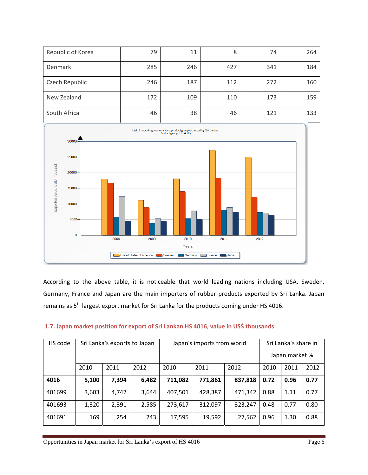| Republic of Korea | 79  | 11  | 8   | 74  | 264 |
|-------------------|-----|-----|-----|-----|-----|
| Denmark           | 285 | 246 | 427 | 341 | 184 |
| Czech Republic    | 246 | 187 | 112 | 272 | 160 |
| New Zealand       | 172 | 109 | 110 | 173 | 159 |
| South Africa      | 46  | 38  | 46  | 121 | 133 |



According to the above table, it is noticeable that world leading nations including USA, Sweden, Germany, France and Japan are the main importers of rubber products exported by Sri Lanka. Japan remains as 5<sup>th</sup> largest export market for Sri Lanka for the products coming under HS 4016.

| HS code | Sri Lanka's exports to Japan |       | Japan's imports from world |         |         | Sri Lanka's share in<br>Japan market % |      |      |      |
|---------|------------------------------|-------|----------------------------|---------|---------|----------------------------------------|------|------|------|
|         | 2010                         | 2011  | 2012                       | 2010    | 2011    | 2012                                   | 2010 | 2011 | 2012 |
| 4016    | 5,100                        | 7,394 | 6,482                      | 711,082 | 771,861 | 837,818                                | 0.72 | 0.96 | 0.77 |
| 401699  | 3,603                        | 4,742 | 3,644                      | 407,501 | 428,387 | 471,342                                | 0.88 | 1.11 | 0.77 |
| 401693  | 1,320                        | 2,391 | 2,585                      | 273,617 | 312,097 | 323,247                                | 0.48 | 0.77 | 0.80 |
| 401691  | 169                          | 254   | 243                        | 17,595  | 19,592  | 27,562                                 | 0.96 | 1.30 | 0.88 |

#### **1.7. Japan market position for export of Sri Lankan HS 4016, value in US\$ thousands**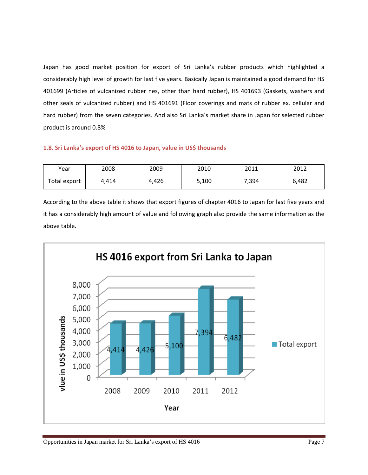Japan has good market position for export of Sri Lanka's rubber products which highlighted a considerably high level of growth for last five years. Basically Japan is maintained a good demand for HS 401699 (Articles of vulcanized rubber nes, other than hard rubber), HS 401693 (Gaskets, washers and other seals of vulcanized rubber) and HS 401691 (Floor coverings and mats of rubber ex. cellular and hard rubber) from the seven categories. And also Sri Lanka's market share in Japan for selected rubber product is around 0.8%

#### **1.8. Sri Lanka's export of HS 4016 to Japan, value in US\$ thousands**

| Year         | 2008  | 2009  | 2010  | 2011  | 2012  |
|--------------|-------|-------|-------|-------|-------|
| Total export | 4.414 | 4.426 | 5,100 | 7,394 | 6,482 |

According to the above table it shows that export figures of chapter 4016 to Japan for last five years and it has a considerably high amount of value and following graph also provide the same information as the above table.

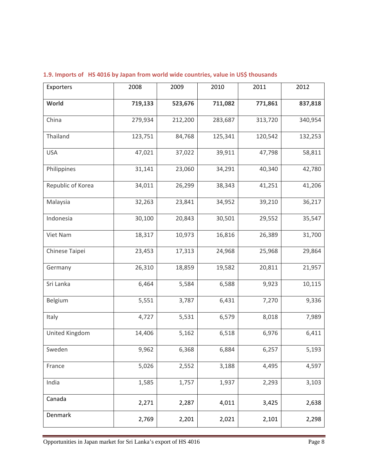| Exporters         | 2008    | 2009    | 2010    | 2011    | 2012    |
|-------------------|---------|---------|---------|---------|---------|
| World             | 719,133 | 523,676 | 711,082 | 771,861 | 837,818 |
| China             | 279,934 | 212,200 | 283,687 | 313,720 | 340,954 |
| Thailand          | 123,751 | 84,768  | 125,341 | 120,542 | 132,253 |
| <b>USA</b>        | 47,021  | 37,022  | 39,911  | 47,798  | 58,811  |
| Philippines       | 31,141  | 23,060  | 34,291  | 40,340  | 42,780  |
| Republic of Korea | 34,011  | 26,299  | 38,343  | 41,251  | 41,206  |
| Malaysia          | 32,263  | 23,841  | 34,952  | 39,210  | 36,217  |
| Indonesia         | 30,100  | 20,843  | 30,501  | 29,552  | 35,547  |
| Viet Nam          | 18,317  | 10,973  | 16,816  | 26,389  | 31,700  |
| Chinese Taipei    | 23,453  | 17,313  | 24,968  | 25,968  | 29,864  |
| Germany           | 26,310  | 18,859  | 19,582  | 20,811  | 21,957  |
| Sri Lanka         | 6,464   | 5,584   | 6,588   | 9,923   | 10,115  |
| Belgium           | 5,551   | 3,787   | 6,431   | 7,270   | 9,336   |
| Italy             | 4,727   | 5,531   | 6,579   | 8,018   | 7,989   |
| United Kingdom    | 14,406  | 5,162   | 6,518   | 6,976   | 6,411   |
| Sweden            | 9,962   | 6,368   | 6,884   | 6,257   | 5,193   |
| France            | 5,026   | 2,552   | 3,188   | 4,495   | 4,597   |
| India             | 1,585   | 1,757   | 1,937   | 2,293   | 3,103   |
| Canada            | 2,271   | 2,287   | 4,011   | 3,425   | 2,638   |
| Denmark           | 2,769   | 2,201   | 2,021   | 2,101   | 2,298   |

### **1.9. Imports of HS 4016 by Japan from world wide countries, value in US\$ thousands**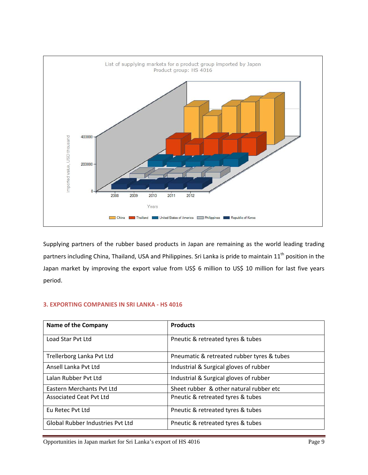

Supplying partners of the rubber based products in Japan are remaining as the world leading trading partners including China, Thailand, USA and Philippines. Sri Lanka is pride to maintain 11<sup>th</sup> position in the Japan market by improving the export value from US\$ 6 million to US\$ 10 million for last five years period.

#### **3. EXPORTING COMPANIES IN SRI LANKA ‐ HS 4016**

| <b>Name of the Company</b>              | <b>Products</b>                            |
|-----------------------------------------|--------------------------------------------|
| Load Star Pyt Ltd                       | Pneutic & retreated tyres & tubes          |
| Trellerborg Lanka Pvt Ltd               | Pneumatic & retreated rubber tyres & tubes |
| Ansell Lanka Pyt Ltd                    | Industrial & Surgical gloves of rubber     |
| Lalan Rubber Pyt Ltd                    | Industrial & Surgical gloves of rubber     |
| Eastern Merchants Pvt Ltd               | Sheet rubber & other natural rubber etc    |
| Associated Ceat Pyt Ltd                 | Pneutic & retreated tyres & tubes          |
| Eu Retec Pyt Ltd                        | Pneutic & retreated tyres & tubes          |
| <b>Global Rubber Industries Pyt Ltd</b> | Pneutic & retreated tyres & tubes          |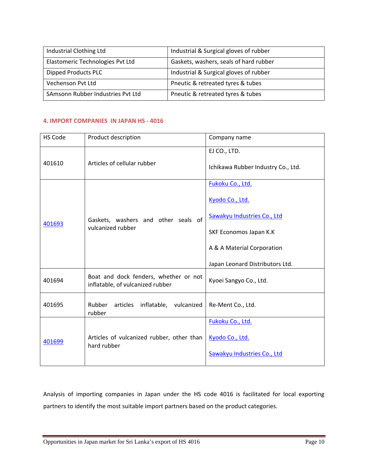| Industrial Clothing Ltd           | Industrial & Surgical gloves of rubber |  |
|-----------------------------------|----------------------------------------|--|
| Elastomeric Technologies Pvt Ltd  | Gaskets, washers, seals of hard rubber |  |
| Dipped Products PLC               | Industrial & Surgical gloves of rubber |  |
| Vechenson Pvt Ltd                 | Pneutic & retreated tyres & tubes      |  |
| SAmsonn Rubber Industries Pvt Ltd | Pneutic & retreated tyres & tubes      |  |

#### **4. IMPORT COMPANIES IN JAPAN HS ‐ 4016**

| HS Code                               | Product description                                                       | Company name                       |
|---------------------------------------|---------------------------------------------------------------------------|------------------------------------|
| Articles of cellular rubber<br>401610 | EJ CO., LTD.                                                              |                                    |
|                                       |                                                                           | Ichikawa Rubber Industry Co., Ltd. |
| 401693<br>vulcanized rubber           | Fukoku Co., Ltd.                                                          |                                    |
|                                       |                                                                           | Kyodo Co., Ltd.                    |
|                                       | Gaskets, washers and other seals of                                       | Sawakyu Industries Co., Ltd        |
|                                       |                                                                           | SKF Economos Japan K.K             |
|                                       |                                                                           | A & A Material Corporation         |
|                                       |                                                                           | Japan Leonard Distributors Ltd.    |
| 401694                                | Boat and dock fenders, whether or not<br>inflatable, of vulcanized rubber | Kyoei Sangyo Co., Ltd.             |
| 401695                                | inflatable, vulcanized<br>Rubber<br>articles<br>rubber                    | Re-Ment Co., Ltd.                  |
| 401699                                | Articles of vulcanized rubber, other than<br>hard rubber                  | Fukoku Co., Ltd.                   |
|                                       |                                                                           | Kyodo Co., Ltd.                    |
|                                       |                                                                           | Sawakyu Industries Co., Ltd        |

Analysis of importing companies in Japan under the HS code 4016 is facilitated for local exporting partners to identify the most suitable import partners based on the product categories.